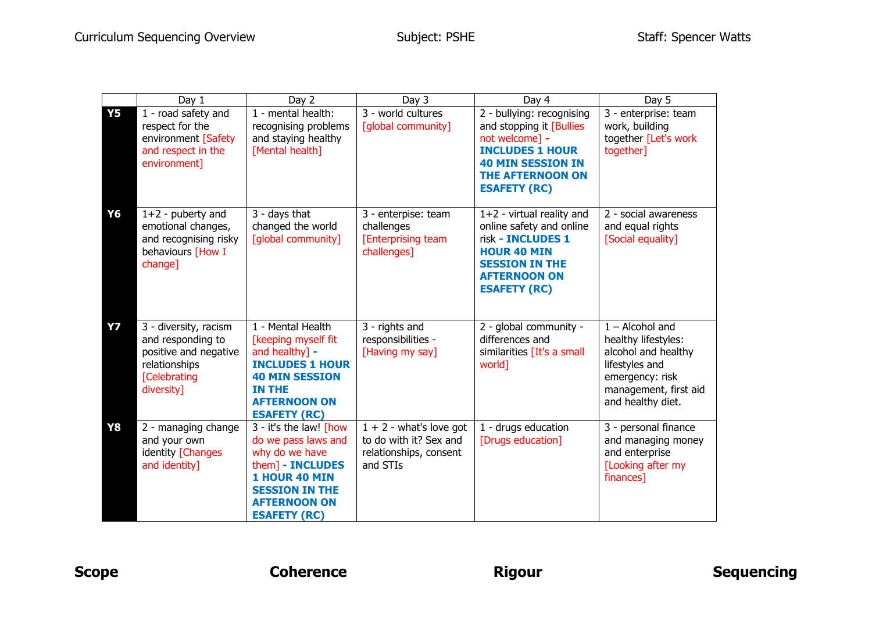|           | Day 1                                                                                                                     | Day 2                                                                                                                                                                              | Day 3                                                                                     | Day 4                                                                                                                                                                           | Day 5                                                                                                                                              |
|-----------|---------------------------------------------------------------------------------------------------------------------------|------------------------------------------------------------------------------------------------------------------------------------------------------------------------------------|-------------------------------------------------------------------------------------------|---------------------------------------------------------------------------------------------------------------------------------------------------------------------------------|----------------------------------------------------------------------------------------------------------------------------------------------------|
| <b>Y5</b> | 1 - road safety and<br>respect for the<br>environment [Safety<br>and respect in the<br>environment]                       | 1 - mental health:<br>recognising problems<br>and staying healthy<br>[Mental health]                                                                                               | 3 - world cultures<br>[global community]                                                  | 2 - bullying: recognising<br>and stopping it [Bullies<br>not welcome] -<br><b>INCLUDES 1 HOUR</b><br><b>40 MIN SESSION IN</b><br><b>THE AFTERNOON ON</b><br><b>ESAFETY (RC)</b> | 3 - enterprise: team<br>work, building<br>together [Let's work<br>together]                                                                        |
| Y6        | $1+2$ - puberty and<br>emotional changes,<br>and recognising risky<br>behaviours [How I<br>change]                        | 3 - days that<br>changed the world<br>[global community]                                                                                                                           | 3 - enterpise: team<br>challenges<br><b>[Enterprising team</b><br>challenges]             | $1+2$ - virtual reality and<br>online safety and online<br>risk - INCLUDES 1<br><b>HOUR 40 MIN</b><br><b>SESSION IN THE</b><br><b>AFTERNOON ON</b><br><b>ESAFETY (RC)</b>       | 2 - social awareness<br>and equal rights<br>[Social equality]                                                                                      |
| <b>Y7</b> | 3 - diversity, racism<br>and responding to<br>positive and negative<br>relationships<br><b>[Celebrating</b><br>diversity] | 1 - Mental Health<br>[keeping myself fit<br>and healthy] -<br><b>INCLUDES 1 HOUR</b><br><b>40 MIN SESSION</b><br><b>IN THE</b><br><b>AFTERNOON ON</b><br><b>ESAFETY (RC)</b>       | 3 - rights and<br>responsibilities -<br>[Having my say]                                   | 2 - global community -<br>differences and<br>similarities [It's a small<br>world]                                                                                               | $1 -$ Alcohol and<br>healthy lifestyles:<br>alcohol and healthy<br>lifestyles and<br>emergency: risk<br>management, first aid<br>and healthy diet. |
| <b>Y8</b> | 2 - managing change<br>and your own<br>identity [Changes<br>and identity]                                                 | 3 - it's the law! [how<br>do we pass laws and<br>why do we have<br>them] - INCLUDES<br><b>1 HOUR 40 MIN</b><br><b>SESSION IN THE</b><br><b>AFTERNOON ON</b><br><b>ESAFETY (RC)</b> | $1 + 2$ - what's love got<br>to do with it? Sex and<br>relationships, consent<br>and STIs | 1 - drugs education<br>[Drugs education]                                                                                                                                        | 3 - personal finance<br>and managing money<br>and enterprise<br>[Looking after my<br>finances]                                                     |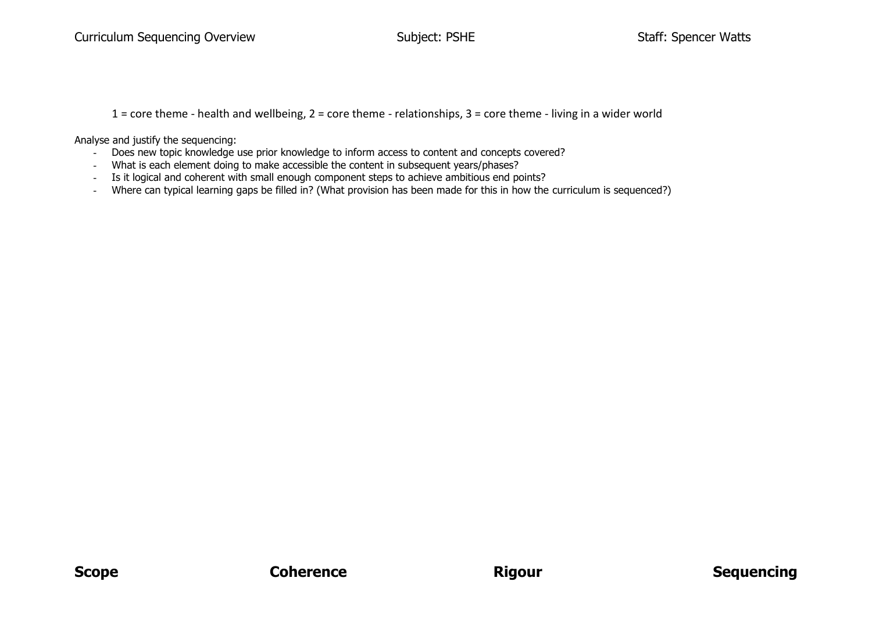1 = core theme - health and wellbeing, 2 = core theme - relationships, 3 = core theme - living in a wider world

Analyse and justify the sequencing:

- Does new topic knowledge use prior knowledge to inform access to content and concepts covered?
- What is each element doing to make accessible the content in subsequent years/phases?
- Is it logical and coherent with small enough component steps to achieve ambitious end points?
- Where can typical learning gaps be filled in? (What provision has been made for this in how the curriculum is sequenced?)